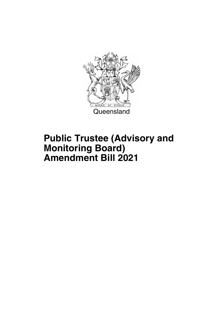

## **Public Trustee (Advisory and Monitoring Board) Amendment Bill 2021**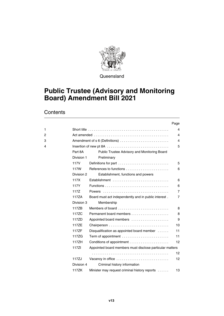

Queensland

### **Public Trustee (Advisory and Monitoring Board) Amendment Bill 2021**

#### **Contents**

|              |            |                                                          | Page           |
|--------------|------------|----------------------------------------------------------|----------------|
| $\mathbf{1}$ |            |                                                          | 4              |
| 2            |            |                                                          | 4              |
| 3            |            | Amendment of s 6 (Definitions)                           | 4              |
| 4            |            |                                                          | 5              |
|              | Part 8A    | Public Trustee Advisory and Monitoring Board             |                |
|              | Division 1 | Preliminary                                              |                |
|              | 117V       | Definitions for part                                     | 5              |
|              | 117W       |                                                          | 6              |
|              | Division 2 | Establishment, functions and powers                      |                |
|              | 117X       | Establishment                                            | 6              |
|              | 117Y       |                                                          | 6              |
|              | 117Z       |                                                          | 7              |
|              | 117ZA      | Board must act independently and in public interest.     | $\overline{7}$ |
|              | Division 3 | Membership                                               |                |
|              | 117ZB      | Members of board                                         | 8              |
|              | 117ZC      | Permanent board members                                  | 8              |
|              | 117ZD      | Appointed board members                                  | 9              |
|              | 117ZE      |                                                          | 10             |
|              | 117ZF      | Disqualification as appointed board member               | 11             |
|              | 117ZG      |                                                          | 11             |
|              | 117ZH      |                                                          | 12             |
|              | 117ZI      | Appointed board members must disclose particular matters |                |
|              |            |                                                          | 12             |
|              | 117ZJ      | Vacancy in office                                        | 12             |
|              | Division 4 | Criminal history information                             |                |
|              | 117ZK      | Minister may request criminal history reports            | 13             |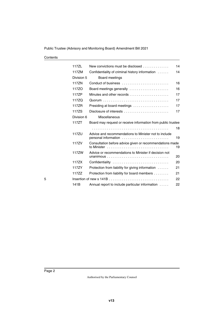| Contents |
|----------|
|----------|

|   | 117ZL      | New convictions must be disclosed                            | 14 |
|---|------------|--------------------------------------------------------------|----|
|   | 117ZM      | Confidentiality of criminal history information              | 14 |
|   | Division 5 | Board meetings                                               |    |
|   | 117ZN      |                                                              | 16 |
|   | 117ZO      | Board meetings generally                                     | 16 |
|   | 117ZP      |                                                              | 17 |
|   | 117ZQ      |                                                              | 17 |
|   | 117ZR      | Presiding at board meetings                                  | 17 |
|   | 117ZS      | Disclosure of interests                                      | 17 |
|   | Division 6 | Miscellaneous                                                |    |
|   | 117ZT      | Board may request or receive information from public trustee |    |
|   |            |                                                              | 18 |
|   | 117ZU      | Advice and recommendations to Minister not to include        | 19 |
|   | 117ZV      | Consultation before advice given or recommendations made     | 19 |
|   | 117ZW      | Advice or recommendations to Minister if decision not        | 20 |
|   | 117ZX      | Confidentiality                                              | 20 |
|   | 117ZY      | Protection from liability for giving information             | 21 |
|   | 117ZZ      | Protection from liability for board members                  | 21 |
| 5 |            |                                                              | 22 |
|   | 141B       | Annual report to include particular information              | 22 |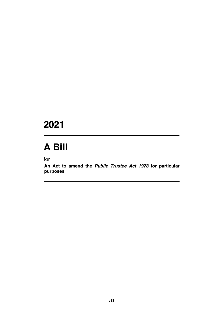### **2021**

# **A Bill**

for

**An Act to amend the** *Public Trustee Act 1978* **for particular purposes**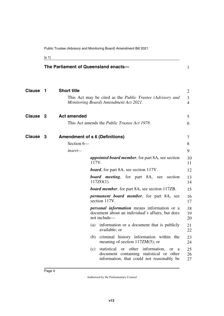<span id="page-5-5"></span><span id="page-5-3"></span><span id="page-5-1"></span>

[s 1]

<span id="page-5-4"></span><span id="page-5-2"></span><span id="page-5-0"></span>

|                     |     |                    |       | The Parliament of Queensland enacts-                                                                                                         | $\mathbf{1}$        |
|---------------------|-----|--------------------|-------|----------------------------------------------------------------------------------------------------------------------------------------------|---------------------|
| <b>Clause</b>       | - 1 | <b>Short title</b> |       |                                                                                                                                              | 2                   |
|                     |     |                    |       | This Act may be cited as the <i>Public Trustee (Advisory and</i><br>Monitoring Board) Amendment Act 2021.                                    | 3<br>$\overline{4}$ |
| Clause <sub>2</sub> |     | <b>Act amended</b> |       |                                                                                                                                              | 5                   |
|                     |     |                    |       | This Act amends the <i>Public Trustee Act 1978</i> .                                                                                         | 6                   |
| Clause 3            |     |                    |       | <b>Amendment of s 6 (Definitions)</b>                                                                                                        | 7                   |
|                     |     | Section 6-         |       |                                                                                                                                              | 8                   |
|                     |     | insert-            |       |                                                                                                                                              | 9                   |
|                     |     |                    | 117V. | <i>appointed board member, for part 8A, see section</i>                                                                                      | 10<br>11            |
|                     |     |                    |       | <b>board</b> , for part 8A, see section 117V.                                                                                                | 12                  |
|                     |     |                    |       | <b>board</b> meeting, for part 8A, see<br>section<br>$117ZO(1)$ .                                                                            | 13<br>14            |
|                     |     |                    |       | <b>board member</b> , for part 8A, see section 117ZB.                                                                                        | 15                  |
|                     |     |                    |       | <i>permanent board member</i> , for part 8A, see<br>section 117V.                                                                            | 16<br>17            |
|                     |     |                    |       | <i>personal information</i> means information or a<br>document about an individual's affairs, but does<br>not include-                       | 18<br>19<br>20      |
|                     |     |                    | (a)   | information or a document that is publicly<br>available; or                                                                                  | 21<br>22            |
|                     |     |                    |       | (b) criminal history information within the<br>meaning of section $117ZM(5)$ ; or                                                            | 23<br>24            |
|                     |     |                    | (c)   | statistical or other information,<br><b>or</b><br>a<br>document containing statistical or other<br>information, that could not reasonably be | 25<br>26<br>27      |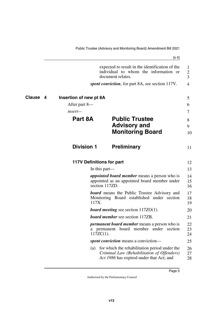<span id="page-6-7"></span><span id="page-6-6"></span><span id="page-6-5"></span><span id="page-6-4"></span><span id="page-6-3"></span><span id="page-6-2"></span><span id="page-6-1"></span><span id="page-6-0"></span>

|          |                        | expected to result in the identification of the<br>individual to whom the information or<br>document relates.                           | 1<br>2<br>3    |
|----------|------------------------|-----------------------------------------------------------------------------------------------------------------------------------------|----------------|
|          |                        | <i>spent conviction</i> , for part 8A, see section 117V.                                                                                | $\overline{4}$ |
| Clause 4 | Insertion of new pt 8A |                                                                                                                                         | 5              |
|          | After part 8—          |                                                                                                                                         | 6              |
|          | $insert-$              |                                                                                                                                         | 7              |
|          | Part 8A                | <b>Public Trustee</b><br><b>Advisory and</b><br><b>Monitoring Board</b>                                                                 | 8<br>9<br>10   |
|          | <b>Division 1</b>      | <b>Preliminary</b>                                                                                                                      | 11             |
|          |                        | <b>117V Definitions for part</b>                                                                                                        | 12             |
|          |                        | In this part—                                                                                                                           | 13             |
|          |                        | <i>appointed board member</i> means a person who is<br>appointed as an appointed board member under<br>section 117ZD.                   | 14<br>15<br>16 |
|          | 117X.                  | <b>board</b> means the Public Trustee Advisory and<br>Monitoring Board established under section                                        | 17<br>18<br>19 |
|          |                        | <b>board meeting</b> see section $117ZO(1)$ .                                                                                           | 20             |
|          |                        | <b>board member</b> see section 117ZB.                                                                                                  | 21             |
|          | a                      | <i>permanent board member</i> means a person who is<br>permanent board member under<br>section<br>$117ZC(1)$ .                          | 22<br>23<br>24 |
|          |                        | <i>spent conviction</i> means a conviction—                                                                                             | 25             |
|          | (a)                    | for which the rehabilitation period under the<br>Criminal Law (Rehabilitation of Offenders)<br>Act 1986 has expired under that Act; and | 26<br>27<br>28 |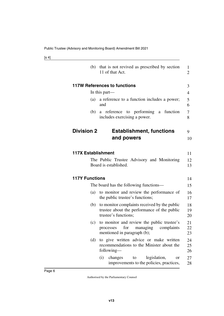| i<br>۰.<br>×<br>v<br>. . |
|--------------------------|
|--------------------------|

<span id="page-7-7"></span><span id="page-7-6"></span><span id="page-7-5"></span><span id="page-7-4"></span><span id="page-7-3"></span><span id="page-7-2"></span><span id="page-7-1"></span><span id="page-7-0"></span>

| (b)                       | that is not revived as prescribed by section<br>11 of that Act.                                                         | 1<br>2         |
|---------------------------|-------------------------------------------------------------------------------------------------------------------------|----------------|
|                           | <b>117W References to functions</b>                                                                                     | 3              |
|                           | In this part—                                                                                                           | 4              |
| (a)                       | a reference to a function includes a power;<br>and                                                                      | 5<br>6         |
| (b)                       | a reference to performing<br>a function<br>includes exercising a power.                                                 | 7<br>8         |
| <b>Division 2</b>         | <b>Establishment, functions</b>                                                                                         | 9              |
|                           | and powers                                                                                                              | 10             |
| <b>117X Establishment</b> | The Public Trustee Advisory and Monitoring<br>Board is established.                                                     | 11<br>12<br>13 |
| <b>117Y Functions</b>     |                                                                                                                         | 14             |
|                           | The board has the following functions—                                                                                  | 15             |
| (a)                       | to monitor and review the performance of<br>the public trustee's functions;                                             | 16<br>17       |
| (b)                       | to monitor complaints received by the public<br>trustee about the performance of the public<br>trustee's functions;     | 18<br>19<br>20 |
| (c)                       | to monitor and review the public trustee's<br>for<br>managing<br>complaints<br>processes<br>mentioned in paragraph (b); | 21<br>22<br>23 |
| (d)                       | to give written advice or make written<br>recommendations to the Minister about the<br>following—                       | 24<br>25<br>26 |
|                           | (i)<br>changes<br>legislation,<br>to<br>or<br>improvements to the policies, practices,                                  | 27<br>28       |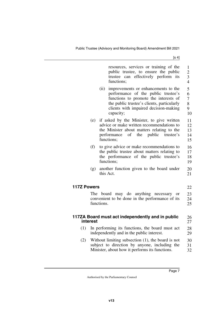<span id="page-8-3"></span><span id="page-8-2"></span><span id="page-8-1"></span><span id="page-8-0"></span>

|                    |          | resources, services or training of the<br>public trustee, to ensure the public<br>trustee can effectively perform<br>its<br>functions;                                                                                          | 1<br>$\overline{2}$<br>3<br>$\overline{4}$ |
|--------------------|----------|---------------------------------------------------------------------------------------------------------------------------------------------------------------------------------------------------------------------------------|--------------------------------------------|
|                    |          | (ii)<br>improvements or enhancements to the<br>performance of the public trustee's<br>functions to promote the interests of<br>the public trustee's clients, particularly<br>clients with impaired decision-making<br>capacity; | 5<br>6<br>7<br>8<br>9<br>10                |
|                    | (e)      | if asked by the Minister, to give written<br>advice or make written recommendations to<br>the Minister about matters relating to the<br>public<br>performance<br><sub>of</sub><br>the<br>trustee's<br>functions;                | 11<br>12<br>13<br>14<br>15                 |
|                    | (f)      | to give advice or make recommendations to<br>the public trustee about matters relating to<br>the performance of the public trustee's<br>functions;                                                                              | 16<br>17<br>18<br>19                       |
|                    | (g)      | another function given to the board under<br>this Act.                                                                                                                                                                          | 20<br>21                                   |
| <b>117Z Powers</b> |          |                                                                                                                                                                                                                                 | 22                                         |
|                    |          | The board may do anything necessary<br><b>or</b><br>convenient to be done in the performance of its<br>functions.                                                                                                               | 23<br>24<br>25                             |
|                    | interest | 117ZA Board must act independently and in public                                                                                                                                                                                | 26<br>27                                   |
| (1)                |          | In performing its functions, the board must act<br>independently and in the public interest.                                                                                                                                    | 28<br>29                                   |
| (2)                |          | Without limiting subsection $(1)$ , the board is not<br>subject to direction by anyone, including the<br>Minister, about how it performs its functions.                                                                         | 30<br>31<br>32                             |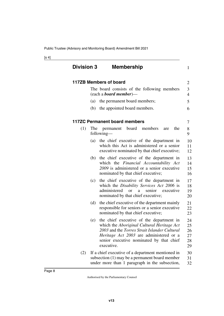<span id="page-9-5"></span><span id="page-9-4"></span><span id="page-9-3"></span><span id="page-9-2"></span><span id="page-9-1"></span><span id="page-9-0"></span>

| <b>Division 3</b> | <b>Membership</b>                                                                                                                                                                                                                                  | $\mathbf{1}$                     |
|-------------------|----------------------------------------------------------------------------------------------------------------------------------------------------------------------------------------------------------------------------------------------------|----------------------------------|
|                   | 117ZB Members of board                                                                                                                                                                                                                             | 2                                |
|                   | The board consists of the following members<br>(each a <b>board member</b> )—                                                                                                                                                                      | 3<br>$\overline{4}$              |
|                   | the permanent board members;<br>(a)                                                                                                                                                                                                                | 5                                |
|                   | the appointed board members.<br>(b)                                                                                                                                                                                                                | 6                                |
|                   | <b>117ZC Permanent board members</b>                                                                                                                                                                                                               | 7                                |
| (1)               | board<br>members<br>the<br>The<br>permanent<br>are<br>following—                                                                                                                                                                                   | 8<br>9                           |
|                   | the chief executive of the department in<br>(a)<br>which this Act is administered or a senior<br>executive nominated by that chief executive;                                                                                                      | 10<br>11<br>12                   |
|                   | the chief executive of the department in<br>(b)<br>which the Financial Accountability Act<br>2009 is administered or a senior executive<br>nominated by that chief executive;                                                                      | 13<br>14<br>15<br>16             |
|                   | the chief executive of the department in<br>(c)<br>which the Disability Services Act 2006 is<br>senior executive<br>administered or<br>a a<br>nominated by that chief executive;                                                                   | 17<br>18<br>19<br>20             |
|                   | the chief executive of the department mainly<br>(d)<br>responsible for seniors or a senior executive<br>nominated by that chief executive;                                                                                                         | 21<br>22<br>23                   |
|                   | the chief executive of the department in<br>(e)<br>which the Aboriginal Cultural Heritage Act<br>2003 and the Torres Strait Islander Cultural<br>Heritage Act 2003 are administered or a<br>senior executive nominated by that chief<br>executive. | 24<br>25<br>26<br>27<br>28<br>29 |
| (2)               | If a chief executive of a department mentioned in<br>subsection (1) may be a permanent board member<br>under more than 1 paragraph in the subsection,                                                                                              | 30<br>31<br>32                   |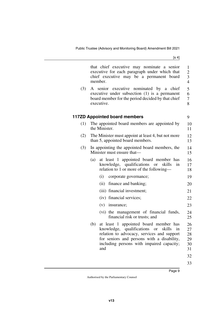<span id="page-10-1"></span><span id="page-10-0"></span>

|     | that chief executive may nominate a senior<br>executive for each paragraph under which that<br>chief executive may be a permanent board<br>member.                                                                                           | $\mathbf{1}$<br>$\overline{c}$<br>3<br>$\overline{4}$ |
|-----|----------------------------------------------------------------------------------------------------------------------------------------------------------------------------------------------------------------------------------------------|-------------------------------------------------------|
| (3) | A senior executive nominated by a chief<br>executive under subsection (1) is a permanent<br>board member for the period decided by that chief<br>executive.                                                                                  | 5<br>6<br>$\boldsymbol{7}$<br>8                       |
|     | <b>117ZD Appointed board members</b>                                                                                                                                                                                                         | 9                                                     |
| (1) | The appointed board members are appointed by<br>the Minister.                                                                                                                                                                                | 10<br>11                                              |
| (2) | The Minister must appoint at least 4, but not more<br>than 5, appointed board members.                                                                                                                                                       | 12<br>13                                              |
| (3) | In appointing the appointed board members, the<br>Minister must ensure that—                                                                                                                                                                 | 14<br>15                                              |
|     | at least 1 appointed board member has<br>(a)<br>knowledge, qualifications<br>skills<br>in<br><sub>or</sub><br>relation to 1 or more of the following—                                                                                        | 16<br>17<br>18                                        |
|     | (i)<br>corporate governance;                                                                                                                                                                                                                 | 19                                                    |
|     | (ii)<br>finance and banking;                                                                                                                                                                                                                 | 20                                                    |
|     | (iii) financial investment;                                                                                                                                                                                                                  | 21                                                    |
|     | (iv) financial services;                                                                                                                                                                                                                     | 22                                                    |
|     | $(v)$ insurance;                                                                                                                                                                                                                             | 23                                                    |
|     | (vi) the management of financial funds,<br>financial risk or trusts; and                                                                                                                                                                     | 24<br>25                                              |
|     | at least 1 appointed board member has<br>(b)<br>knowledge, qualifications or<br>skills<br>in<br>relation to advocacy, services and support<br>for seniors and persons with a disability,<br>including persons with impaired capacity;<br>and | 26<br>27<br>28<br>29<br>30<br>31<br>32                |

33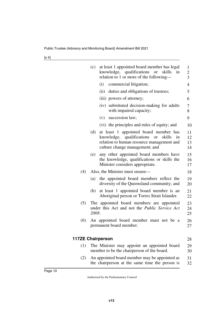<span id="page-11-1"></span><span id="page-11-0"></span>

|     | (c)<br>at least 1 appointed board member has legal<br>knowledge, qualifications or<br>skills<br>in<br>relation to 1 or more of the following-                                         | 1<br>$\overline{c}$<br>3 |
|-----|---------------------------------------------------------------------------------------------------------------------------------------------------------------------------------------|--------------------------|
|     | (i)<br>commercial litigation;                                                                                                                                                         | $\overline{4}$           |
|     | (ii) duties and obligations of trustees;                                                                                                                                              | 5                        |
|     | (iii) powers of attorney;                                                                                                                                                             | 6                        |
|     | (iv) substituted decision-making for adults<br>with impaired capacity;                                                                                                                | 7<br>8                   |
|     | succession law;<br>(v)                                                                                                                                                                | 9                        |
|     | (vi) the principles and rules of equity; and                                                                                                                                          | 10                       |
|     | (d)<br>at least 1 appointed board member has<br>knowledge, qualifications<br>skills<br><b>or</b><br>in<br>relation to human resource management and<br>culture change management; and | 11<br>12<br>13<br>14     |
|     | any other appointed board members have<br>(e)<br>the knowledge, qualifications or skills the<br>Minister considers appropriate.                                                       | 15<br>16<br>17           |
| (4) | Also, the Minister must ensure—                                                                                                                                                       | 18                       |
|     | the appointed board members reflect the<br>(a)<br>diversity of the Queensland community; and                                                                                          | 19<br>20                 |
|     | at least 1 appointed board member is an<br>(b)<br>Aboriginal person or Torres Strait Islander.                                                                                        | 21<br>22                 |
| (5) | The appointed board members are appointed<br>under this Act and not the <i>Public Service Act</i><br>2008.                                                                            | 23<br>24<br>25           |
| (6) | An appointed board member must not be a<br>permanent board member.                                                                                                                    | 26<br>27                 |
|     | <b>117ZE Chairperson</b>                                                                                                                                                              | 28                       |
| (1) | The Minister may appoint an appointed board<br>member to be the chairperson of the board.                                                                                             | 29<br>30                 |
| (2) | An appointed board member may be appointed as<br>the chairperson at the same time the person is                                                                                       | 31<br>32                 |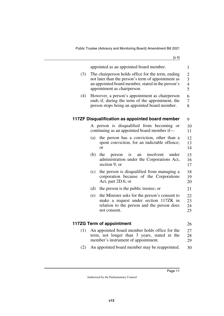$[s_4]$ 

<span id="page-12-3"></span><span id="page-12-2"></span><span id="page-12-1"></span><span id="page-12-0"></span>

|     | appointed as an appointed board member.                                                                     | $\mathbf{1}$        |
|-----|-------------------------------------------------------------------------------------------------------------|---------------------|
| (3) | The chairperson holds office for the term, ending                                                           | $\overline{c}$      |
|     | not later than the person's term of appointment as                                                          | 3                   |
|     | an appointed board member, stated in the person's<br>appointment as chairperson.                            | $\overline{4}$<br>5 |
|     |                                                                                                             |                     |
| (4) | However, a person's appointment as chairperson<br>ends if, during the term of the appointment, the          | 6<br>7              |
|     | person stops being an appointed board member.                                                               | 8                   |
|     |                                                                                                             |                     |
|     | 117ZF Disqualification as appointed board member                                                            | 9                   |
|     | A person is disqualified from becoming<br><b>or</b>                                                         | 10                  |
|     | continuing as an appointed board member if-                                                                 | 11                  |
|     | the person has a conviction, other than a<br>(a)                                                            | 12                  |
|     | spent conviction, for an indictable offence;<br><sub>or</sub>                                               | 13<br>14            |
|     |                                                                                                             |                     |
|     | insolvent<br>(b)<br>the<br>under<br>person<br><i>is</i><br>an<br>administration under the Corporations Act, | 15<br>16            |
|     | section 9; or                                                                                               | 17                  |
|     | the person is disqualified from managing a<br>(c)                                                           | 18                  |
|     | corporation because of the Corporations                                                                     | 19                  |
|     | Act, part 2D.6; or                                                                                          | 20                  |
|     | (d)<br>the person is the public trustee; or                                                                 | 21                  |
|     | the Minister asks for the person's consent to<br>(e)                                                        | 22                  |
|     | make a request under section 117ZK in                                                                       | 23                  |
|     | relation to the person and the person does<br>not consent.                                                  | 24<br>25            |
|     |                                                                                                             |                     |
|     | 117ZG Term of appointment                                                                                   | 26                  |
| (1) | An appointed board member holds office for the                                                              | 27                  |
|     | term, not longer than 3 years, stated in the                                                                | 28                  |
|     | member's instrument of appointment.                                                                         | 29                  |
| (2) | An appointed board member may be reappointed.                                                               | 30                  |
|     |                                                                                                             |                     |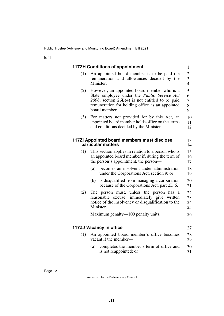<span id="page-13-5"></span><span id="page-13-4"></span><span id="page-13-3"></span><span id="page-13-2"></span><span id="page-13-1"></span><span id="page-13-0"></span>

|     | <b>117ZH Conditions of appointment</b>                                                                                                                                                                                 | $\mathbf{1}$                          |
|-----|------------------------------------------------------------------------------------------------------------------------------------------------------------------------------------------------------------------------|---------------------------------------|
| (1) | An appointed board member is to be paid the<br>remuneration and allowances decided by the<br>Minister.                                                                                                                 | $\overline{c}$<br>3<br>$\overline{4}$ |
| (2) | However, an appointed board member who is a<br>State employee under the Public Service Act<br>$2008$ , section $26B(4)$ is not entitled to be paid<br>remuneration for holding office as an appointed<br>board member. | 5<br>6<br>7<br>8<br>9                 |
| (3) | For matters not provided for by this Act, an<br>appointed board member holds office on the terms<br>and conditions decided by the Minister.                                                                            | 10<br>11<br>12                        |
|     | 117ZI Appointed board members must disclose<br>particular matters                                                                                                                                                      | 13<br>14                              |
| (1) | This section applies in relation to a person who is<br>an appointed board member if, during the term of<br>the person's appointment, the person—                                                                       | 15<br>16<br>17                        |
|     | becomes an insolvent under administration<br>(a)<br>under the Corporations Act, section 9; or                                                                                                                          | 18<br>19                              |
|     | is disqualified from managing a corporation<br>(b)<br>because of the Corporations Act, part 2D.6.                                                                                                                      | 20<br>21                              |
| (2) | The person must, unless the person has a<br>reasonable excuse, immediately give written<br>notice of the insolvency or disqualification to the<br>Minister.                                                            | 22<br>23<br>24<br>25                  |
|     | Maximum penalty—100 penalty units.                                                                                                                                                                                     | 26                                    |
|     | 117ZJ Vacancy in office                                                                                                                                                                                                | 27                                    |
| (1) | An appointed board member's office becomes<br>vacant if the member-                                                                                                                                                    | 28<br>29                              |
|     | completes the member's term of office and<br>(a)<br>is not reappointed; or                                                                                                                                             | 30<br>31                              |
|     |                                                                                                                                                                                                                        |                                       |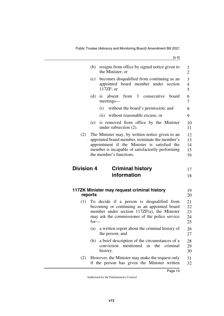<span id="page-14-2"></span><span id="page-14-1"></span><span id="page-14-0"></span>

|                   | resigns from office by signed notice given to<br>(b)<br>the Minister; or                                                                                                                                                         | 1<br>$\overline{2}$        |
|-------------------|----------------------------------------------------------------------------------------------------------------------------------------------------------------------------------------------------------------------------------|----------------------------|
|                   | becomes disqualified from continuing as an<br>(c)<br>appointed board member under section<br>117ZF; or                                                                                                                           | 3<br>$\overline{4}$<br>5   |
|                   | from 3 consecutive<br>(d)<br>absent<br>board<br>$\overline{1}S$<br>meetings—                                                                                                                                                     | 6<br>7                     |
|                   | without the board's permission; and<br>(i)                                                                                                                                                                                       | 8                          |
|                   | without reasonable excuse; or<br>(ii)                                                                                                                                                                                            | 9                          |
|                   | is removed from office by the Minister<br>(e)<br>under subsection $(2)$ .                                                                                                                                                        | 10<br>11                   |
| (2)               | The Minister may, by written notice given to an<br>appointed board member, terminate the member's<br>appointment if the Minister is satisfied the<br>member is incapable of satisfactorily performing<br>the member's functions. | 12<br>13<br>14<br>15<br>16 |
| <b>Division 4</b> | <b>Criminal history</b>                                                                                                                                                                                                          | 17                         |
|                   | information                                                                                                                                                                                                                      | 18                         |
|                   | 117ZK Minister may request criminal history<br>reports                                                                                                                                                                           | 19<br>20                   |
| (1)               | To decide if a person is disqualified from<br>becoming or continuing as an appointed board<br>member under section 117ZF(a), the Minister<br>may ask the commissioner of the police service<br>$for-$                            | 21<br>22<br>23<br>24<br>25 |
|                   | (a) a written report about the criminal history of<br>the person; and                                                                                                                                                            | 26<br>27                   |
|                   | a brief description of the circumstances of a<br>(b)<br>mentioned<br>in<br>the<br>conviction<br>criminal<br>history.                                                                                                             | 28<br>29<br>30             |
| (2)               | However, the Minister may make the request only<br>if the person has given the Minister written                                                                                                                                  | 31<br>32                   |

<span id="page-14-3"></span>Page 13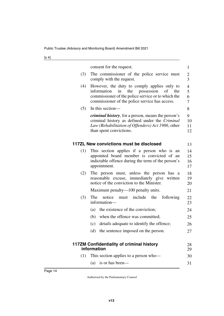| ۰.<br>v |  |
|---------|--|
|---------|--|

<span id="page-15-3"></span><span id="page-15-2"></span><span id="page-15-1"></span><span id="page-15-0"></span>

|     | consent for the request.                                                                                                                                                                                | $\mathbf{1}$         |
|-----|---------------------------------------------------------------------------------------------------------------------------------------------------------------------------------------------------------|----------------------|
| (3) | The commissioner of the police service must<br>comply with the request.                                                                                                                                 | 2<br>3               |
| (4) | However, the duty to comply applies only to<br>the<br>possession<br>information<br>in<br>of the<br>commissioner of the police service or to which the<br>commissioner of the police service has access. | 4<br>5<br>6<br>7     |
| (5) | In this section-                                                                                                                                                                                        | 8                    |
|     | <i>criminal history</i> , for a person, means the person's<br>criminal history as defined under the Criminal<br>Law (Rehabilitation of Offenders) Act 1986, other<br>than spent convictions.            | 9<br>10<br>11<br>12  |
|     | 117ZL New convictions must be disclosed                                                                                                                                                                 | 13                   |
| (1) | This section applies if a person who is an<br>appointed board member is convicted of an<br>indictable offence during the term of the person's<br>appointment.                                           | 14<br>15<br>16<br>17 |
| (2) | The person must, unless the person has a<br>reasonable excuse, immediately give written<br>notice of the conviction to the Minister.                                                                    | 18<br>19<br>20       |
|     | Maximum penalty—100 penalty units.                                                                                                                                                                      | 21                   |
| (3) | The<br>notice<br>include<br>the<br>following<br>must<br>information-                                                                                                                                    | 22<br>23             |
|     | the existence of the conviction;<br>(a)                                                                                                                                                                 | 24                   |
|     | (b) when the offence was committed;                                                                                                                                                                     | 25                   |
|     | details adequate to identify the offence;<br>(c)                                                                                                                                                        | 26                   |
|     | (d) the sentence imposed on the person.                                                                                                                                                                 | 27                   |
|     | 117ZM Confidentiality of criminal history<br>information                                                                                                                                                | 28<br>29             |
| (1) | This section applies to a person who-                                                                                                                                                                   | 30                   |
|     | is or has been-<br>(a)                                                                                                                                                                                  | 31                   |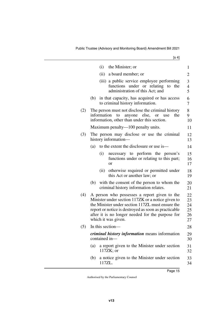|     | (i) the Minister; or                                                                                                | 1                                                                                                                                                                                                                                                                                                                                                                                                                                                                                                                                                                                                                                                                                                 |
|-----|---------------------------------------------------------------------------------------------------------------------|---------------------------------------------------------------------------------------------------------------------------------------------------------------------------------------------------------------------------------------------------------------------------------------------------------------------------------------------------------------------------------------------------------------------------------------------------------------------------------------------------------------------------------------------------------------------------------------------------------------------------------------------------------------------------------------------------|
|     | (ii)<br>a board member; or                                                                                          | 2                                                                                                                                                                                                                                                                                                                                                                                                                                                                                                                                                                                                                                                                                                 |
|     | (iii) a public service employee performing<br>functions under or relating to the<br>administration of this Act; and | 3<br>4<br>5                                                                                                                                                                                                                                                                                                                                                                                                                                                                                                                                                                                                                                                                                       |
|     | to criminal history information.                                                                                    | 6<br>7                                                                                                                                                                                                                                                                                                                                                                                                                                                                                                                                                                                                                                                                                            |
|     | the                                                                                                                 | 8<br>9<br>10                                                                                                                                                                                                                                                                                                                                                                                                                                                                                                                                                                                                                                                                                      |
|     |                                                                                                                     | 11                                                                                                                                                                                                                                                                                                                                                                                                                                                                                                                                                                                                                                                                                                |
|     |                                                                                                                     | 12<br>13                                                                                                                                                                                                                                                                                                                                                                                                                                                                                                                                                                                                                                                                                          |
| (a) | to the extent the disclosure or use is—                                                                             | 14                                                                                                                                                                                                                                                                                                                                                                                                                                                                                                                                                                                                                                                                                                |
|     | (i)<br>necessary to perform the person's<br>functions under or relating to this part;<br><sub>or</sub>              | 15<br>16<br>17                                                                                                                                                                                                                                                                                                                                                                                                                                                                                                                                                                                                                                                                                    |
|     | otherwise required or permitted under<br>(ii)<br>this Act or another law; or                                        | 18<br>19                                                                                                                                                                                                                                                                                                                                                                                                                                                                                                                                                                                                                                                                                          |
| (b) | with the consent of the person to whom the<br>criminal history information relates.                                 | 20<br>21                                                                                                                                                                                                                                                                                                                                                                                                                                                                                                                                                                                                                                                                                          |
|     |                                                                                                                     | 22<br>23<br>24<br>25<br>26<br>27                                                                                                                                                                                                                                                                                                                                                                                                                                                                                                                                                                                                                                                                  |
|     |                                                                                                                     | 28                                                                                                                                                                                                                                                                                                                                                                                                                                                                                                                                                                                                                                                                                                |
|     |                                                                                                                     | 29<br>30                                                                                                                                                                                                                                                                                                                                                                                                                                                                                                                                                                                                                                                                                          |
| (a) | a report given to the Minister under section<br>$117ZK$ ; or                                                        | 31<br>32                                                                                                                                                                                                                                                                                                                                                                                                                                                                                                                                                                                                                                                                                          |
| (b) | a notice given to the Minister under section<br>117ZL.                                                              | 33<br>34                                                                                                                                                                                                                                                                                                                                                                                                                                                                                                                                                                                                                                                                                          |
|     |                                                                                                                     | (b) in that capacity, has acquired or has access<br>The person must not disclose the criminal history<br>information to anyone else, or use<br>information, other than under this section.<br>Maximum penalty—100 penalty units.<br>The person may disclose or use the criminal<br>history information—<br>A person who possesses a report given to the<br>Minister under section 117ZK or a notice given to<br>the Minister under section 117ZL must ensure the<br>report or notice is destroyed as soon as practicable<br>after it is no longer needed for the purpose for<br>which it was given.<br>In this section-<br><i>criminal history information</i> means information<br>contained in- |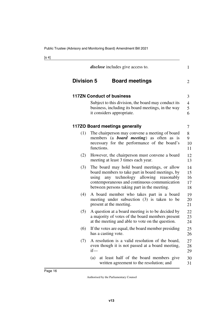<span id="page-17-5"></span><span id="page-17-4"></span><span id="page-17-3"></span><span id="page-17-2"></span><span id="page-17-1"></span><span id="page-17-0"></span>

|                   | <i>disclose</i> includes give access to.                                                                                                                                                                                                         | $\mathbf{1}$                       |
|-------------------|--------------------------------------------------------------------------------------------------------------------------------------------------------------------------------------------------------------------------------------------------|------------------------------------|
| <b>Division 5</b> | <b>Board meetings</b>                                                                                                                                                                                                                            | $\overline{2}$                     |
|                   | <b>117ZN Conduct of business</b>                                                                                                                                                                                                                 | 3                                  |
|                   | Subject to this division, the board may conduct its<br>business, including its board meetings, in the way<br>it considers appropriate.                                                                                                           | $\overline{\mathcal{A}}$<br>5<br>6 |
|                   | 117ZO Board meetings generally                                                                                                                                                                                                                   | 7                                  |
| (1)               | The chairperson may convene a meeting of board<br>members (a <b>board</b> meeting) as often as is<br>necessary for the performance of the board's<br>functions.                                                                                  | 8<br>9<br>10<br>11                 |
| (2)               | However, the chairperson must convene a board<br>meeting at least 3 times each year.                                                                                                                                                             | 12<br>13                           |
| (3)               | The board may hold board meetings, or allow<br>board members to take part in board meetings, by<br>any technology allowing<br>using<br>reasonably<br>contemporaneous and continuous communication<br>between persons taking part in the meeting. | 14<br>15<br>16<br>17<br>18         |
| (4)               | A board member who takes part in a board<br>meeting under subsection (3) is taken to be<br>present at the meeting.                                                                                                                               | 19<br>20<br>21                     |
| (5)               | A question at a board meeting is to be decided by<br>a majority of votes of the board members present<br>at the meeting and able to vote on the question.                                                                                        | 22<br>23<br>24                     |
| (6)               | If the votes are equal, the board member presiding<br>has a casting vote.                                                                                                                                                                        | 25<br>26                           |
| (7)               | A resolution is a valid resolution of the board,<br>even though it is not passed at a board meeting,<br>$if$ —                                                                                                                                   | 27<br>28<br>29                     |
|                   | at least half of the board members give<br>(a)<br>written agreement to the resolution; and                                                                                                                                                       | 30<br>31                           |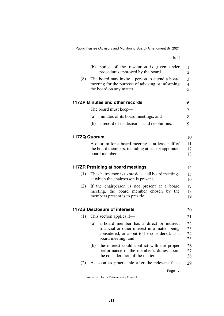<span id="page-18-5"></span><span id="page-18-4"></span><span id="page-18-3"></span><span id="page-18-2"></span><span id="page-18-1"></span><span id="page-18-0"></span>

|     | notice of the resolution is given under<br>(b)<br>procedures approved by the board.                                                                                  | 1<br>$\overline{2}$                   |
|-----|----------------------------------------------------------------------------------------------------------------------------------------------------------------------|---------------------------------------|
| (8) | The board may invite a person to attend a board<br>meeting for the purpose of advising or informing<br>the board on any matter.                                      | 3<br>$\overline{4}$<br>$\overline{5}$ |
|     | 117ZP Minutes and other records                                                                                                                                      | 6                                     |
|     | The board must keep—                                                                                                                                                 | 7                                     |
|     | minutes of its board meetings; and<br>(a)                                                                                                                            | 8                                     |
|     | a record of its decisions and resolutions.<br>(b)                                                                                                                    | 9                                     |
|     | 117ZQ Quorum                                                                                                                                                         | 10                                    |
|     | A quorum for a board meeting is at least half of<br>the board members, including at least 3 appointed<br>board members.                                              | 11<br>12<br>13                        |
|     | 117ZR Presiding at board meetings                                                                                                                                    | 14                                    |
| (1) | The chairperson is to preside at all board meetings<br>at which the chairperson is present.                                                                          | 15<br>16                              |
| (2) | If the chairperson is not present at a board<br>meeting, the board member chosen by the<br>members present is to preside.                                            | 17<br>18<br>19                        |
|     | <b>117ZS Disclosure of interests</b>                                                                                                                                 | 20                                    |
| (1) | This section applies if—                                                                                                                                             | 21                                    |
|     | a board member has a direct or indirect<br>(a)<br>financial or other interest in a matter being<br>considered, or about to be considered, at a<br>board meeting; and | 22<br>23<br>24<br>25                  |
|     | the interest could conflict with the proper<br>(b)<br>performance of the member's duties about<br>the consideration of the matter.                                   | 26<br>27<br>28                        |
|     |                                                                                                                                                                      |                                       |

<span id="page-18-7"></span><span id="page-18-6"></span>(2) As soon as practicable after the relevant facts 29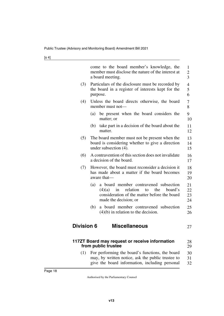<span id="page-19-1"></span>

<span id="page-19-3"></span><span id="page-19-2"></span><span id="page-19-0"></span>

|                   | come to the board member's knowledge, the<br>member must disclose the nature of the interest at<br>a board meeting.                                                       | 1<br>$\overline{c}$<br>$\overline{3}$ |
|-------------------|---------------------------------------------------------------------------------------------------------------------------------------------------------------------------|---------------------------------------|
| (3)               | Particulars of the disclosure must be recorded by<br>the board in a register of interests kept for the<br>purpose.                                                        | $\overline{4}$<br>5<br>6              |
| (4)               | Unless the board directs otherwise, the board<br>member must not—                                                                                                         | $\tau$<br>8                           |
|                   | be present when the board considers the<br>(a)<br>matter; or                                                                                                              | 9<br>10                               |
|                   | take part in a decision of the board about the<br>(b)<br>matter.                                                                                                          | 11<br>12                              |
| (5)               | The board member must not be present when the<br>board is considering whether to give a direction<br>under subsection $(4)$ .                                             | 13<br>14<br>15                        |
| (6)               | A contravention of this section does not invalidate<br>a decision of the board.                                                                                           | 16<br>17                              |
| (7)               | However, the board must reconsider a decision it<br>has made about a matter if the board becomes<br>aware that-                                                           | 18<br>19<br>20                        |
|                   | a board member contravened subsection<br>(a)<br>relation<br>(4)(a)<br>the<br>board's<br>in<br>to<br>consideration of the matter before the board<br>made the decision; or | 21<br>22<br>23<br>24                  |
|                   | a board member contravened subsection<br>(b)<br>$(4)(b)$ in relation to the decision.                                                                                     | 25<br>26                              |
| <b>Division 6</b> | <b>Miscellaneous</b>                                                                                                                                                      | 27                                    |
|                   | 117ZT Board may request or receive information<br>from public trustee                                                                                                     | 28<br>29                              |
| (1)               | For performing the board's functions, the board<br>may, by written notice, ask the public trustee to<br>give the board information, including personal                    | 30<br>31<br>32                        |
| Page 18           |                                                                                                                                                                           |                                       |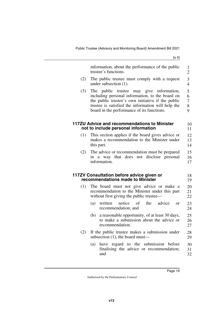<span id="page-20-3"></span><span id="page-20-2"></span><span id="page-20-1"></span><span id="page-20-0"></span>

|     | information, about the performance of the public                                                                                                                                                                                                     | 1                                  |
|-----|------------------------------------------------------------------------------------------------------------------------------------------------------------------------------------------------------------------------------------------------------|------------------------------------|
|     | trustee's functions.                                                                                                                                                                                                                                 | $\overline{2}$                     |
| (2) | The public trustee must comply with a request<br>under subsection $(1)$ .                                                                                                                                                                            | 3<br>$\overline{4}$                |
| (3) | The public trustee may give information,<br>including personal information, to the board on<br>the public trustee's own initiative if the public<br>trustee is satisfied the information will help the<br>board in the performance of its functions. | 5<br>6<br>$\overline{7}$<br>8<br>9 |
|     | 117ZU Advice and recommendations to Minister<br>not to include personal information                                                                                                                                                                  | 10<br>11                           |
| (1) | This section applies if the board gives advice or<br>makes a recommendation to the Minister under<br>this part.                                                                                                                                      | 12<br>13<br>14                     |
| (2) | The advice or recommendation must be prepared<br>in a way that does not disclose personal<br>information.                                                                                                                                            | 15<br>16<br>17                     |
|     | 117ZV Consultation before advice given or<br>recommendations made to Minister                                                                                                                                                                        | 18<br>19                           |
| (1) | The board must not give advice or make a<br>recommendation to the Minister under this part<br>without first giving the public trustee—                                                                                                               | 20<br>21<br>22                     |
|     | advice<br>(a)<br>written<br>notice<br>of<br>the<br><sub>or</sub><br>recommendation; and                                                                                                                                                              | 23<br>24                           |
|     | a reasonable opportunity, of at least 30 days,<br>(b)<br>to make a submission about the advice or<br>recommendation.                                                                                                                                 | 25<br>26<br>27                     |
| (2) | If the public trustee makes a submission under<br>subsection (1), the board must—                                                                                                                                                                    | 28<br>29                           |
|     | (a)<br>have regard to the submission before<br>finalising the advice or recommendation;<br>and                                                                                                                                                       | 30<br>31<br>32                     |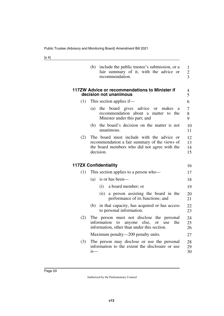| ۰.<br>× |  |
|---------|--|
|---------|--|

<span id="page-21-3"></span><span id="page-21-2"></span><span id="page-21-1"></span><span id="page-21-0"></span>

|     | include the public trustee's submission, or a<br>(b)<br>fair summary of it, with the advice or<br>recommendation.                                               | $\mathbf{1}$<br>$\overline{2}$<br>$\overline{3}$ |
|-----|-----------------------------------------------------------------------------------------------------------------------------------------------------------------|--------------------------------------------------|
|     | 117ZW Advice or recommendations to Minister if<br>decision not unanimous                                                                                        | 4<br>5                                           |
| (1) | This section applies if—                                                                                                                                        | 6                                                |
|     | board gives advice<br>the<br>(a)<br>makes<br><sub>or</sub><br>a<br>recommendation about a matter to the<br>Minister under this part; and                        | 7<br>8<br>9                                      |
|     | the board's decision on the matter is not<br>(b)<br>unanimous.                                                                                                  | 10<br>11                                         |
| (2) | The board must include with the advice or<br>recommendation a fair summary of the views of<br>the board members who did not agree with the<br>decision.         | 12<br>13<br>14<br>15                             |
|     | <b>117ZX Confidentiality</b>                                                                                                                                    | 16                                               |
| (1) | This section applies to a person who-                                                                                                                           | 17                                               |
|     | is or has been—<br>(a)                                                                                                                                          | 18                                               |
|     | a board member; or<br>(i)                                                                                                                                       | 19                                               |
|     | a person assisting the board in the<br>(ii)<br>performance of its functions; and                                                                                | 20<br>21                                         |
|     | in that capacity, has acquired or has access<br>(b)<br>to personal information.                                                                                 | 22<br>23                                         |
| (2) | The person must not disclose<br>the personal<br>information<br>anyone else,<br>the<br>to<br><sub>or</sub><br>use<br>information, other than under this section. | 24<br>25<br>26                                   |
|     | Maximum penalty—200 penalty units.                                                                                                                              | 27                                               |
| (3) | The person may disclose or use the personal<br>information to the extent the disclosure or use<br>is—                                                           | 28<br>29<br>30                                   |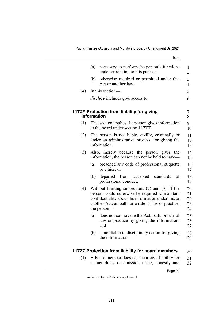<span id="page-22-1"></span><span id="page-22-0"></span>

|     | (a)<br>necessary to perform the person's functions<br>under or relating to this part; or                                                                                                                                             |
|-----|--------------------------------------------------------------------------------------------------------------------------------------------------------------------------------------------------------------------------------------|
|     | otherwise required or permitted under this<br>(b)<br>Act or another law.                                                                                                                                                             |
| (4) | In this section-                                                                                                                                                                                                                     |
|     | disclose includes give access to.                                                                                                                                                                                                    |
|     | 117ZY Protection from liability for giving<br>information                                                                                                                                                                            |
| (1) | This section applies if a person gives information<br>to the board under section 117ZT.                                                                                                                                              |
| (2) | The person is not liable, civilly, criminally or<br>under an administrative process, for giving the<br>information.                                                                                                                  |
| (3) | Also, merely because the person gives the<br>information, the person can not be held to have—                                                                                                                                        |
|     | breached any code of professional etiquette<br>(a)<br>or ethics; or                                                                                                                                                                  |
|     | departed from accepted standards<br>(b)<br>of<br>professional conduct.                                                                                                                                                               |
| (4) | Without limiting subsections $(2)$ and $(3)$ , if the<br>person would otherwise be required to maintain<br>confidentiality about the information under this or<br>another Act, an oath, or a rule of law or practice,<br>the person— |
|     | does not contravene the Act, oath, or rule of<br>(a)<br>law or practice by giving the information;<br>and                                                                                                                            |
|     | is not liable to disciplinary action for giving<br>(b)                                                                                                                                                                               |

<span id="page-22-3"></span><span id="page-22-2"></span>(1) A board member does not incur civil liability for an act done, or omission made, honestly and 31 32